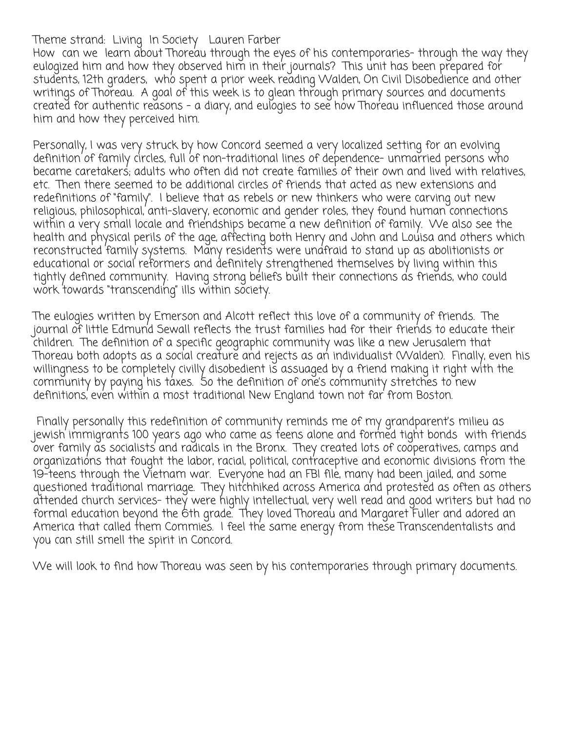Theme strand: Living In Society Lauren Farber

How can we learn about Thoreau through the eyes of his contemporaries-through the way they eulogized him and how they observed him in their journals? This unit has been prepared for students, 12th graders, who spent a prior week reading Walden, On Civil Disobedience and other writings of Thoreau. A goal of this week is to glean through primary sources and documents created for authentic reasons - a diary, and eulogies to see how Thoreau influenced those around him and how they perceived him.

Personally, I was very struck by how Concord seemed a very localized setting for an evolving definition of family circles, full of non-traditional lines of dependence- unmarried persons who became caretakers; adults who often did not create families of their own and lived with relatives, etc. Then there seemed to be additional circles of friends that acted as new extensions and redefinitions of "family". I believe that as rebels or new thinkers who were carving out new religious, philosophical, anti-slavery, economic and gender roles, they found human connections within a very small locale and friendships became a new definition of family. We also see the health and physical perils of the age, affecting both Henry and John and Louisa and others which reconstructed family systems. Many residents were unafraid to stand up as abolitionists or educational or social reformers and definitely strengthened themselves by living within this tightly defined community. Having strong beliefs built their connections as friends, who could work towards "transcending" ills within society.

The eulogies written by Emerson and Alcott reflect this love of a community of friends. The journal of little Edmund Sewall reflects the trust families had for their friends to educate their children. The definition of a specific geographic community was like a new Jerusalem that Thoreau both adopts as a social creature and rejects as an individualist (Walden). Finally, even his willingness to be completely civilly disobedient is assuaged by a friend making it right with the community by paying his taxes. So the definition of one's community stretches to new definitions, even within a most traditional New England town not far from Boston.

 Finally personally this redefinition of community reminds me of my grandparent's milieu as jewish immigrants 100 years ago who came as teens alone and formed tight bonds with friends  $\rm\check{o}$ ver family as socialists' and radicals in the Bronx. They created lots of cooperatives, camps and organizations that fought the labor, racial, political, contraceptive and economic divisions from the 19-teens through the Vietnam war. Everyone had an FBI file, many had been jailed, and some questioned traditional marriage. They hitchhiked across America and protested as often as others attended church services- they were highly intellectual, very well read and good writers but had no formal education beyond the 6th grade. They loved Thoreau and Margaret Fuller and adored an America that called them Commies. I feel the same energy from these Transcendentalists and you can still smell the spirit in Concord.

We will look to find how Thoreau was seen by his contemporaries through primary documents.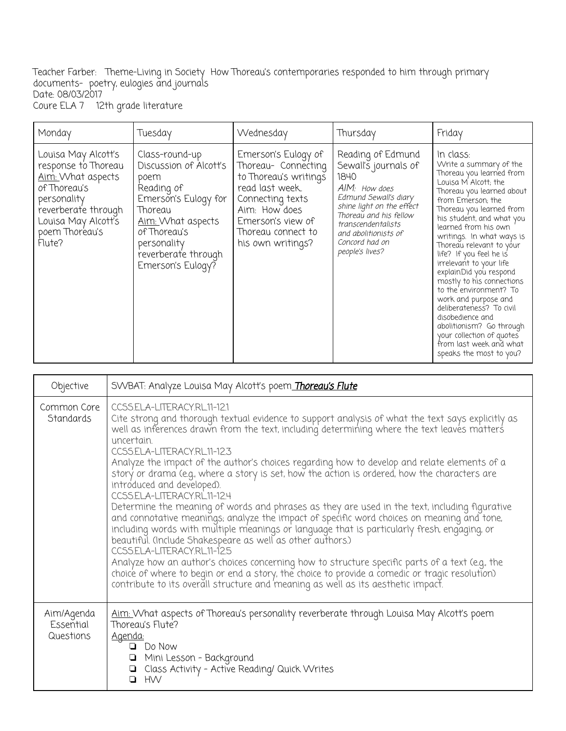Teacher Farber: Theme-Living in Society How Thoreau's contemporaries responded to him through primary documents- poetry, eulogies and journals Date: 08/03/2017 Coure ELA 7 12th grade literature

| Monday                                                                                                                                                                   | Tuesday                                                                                                                                                                                           | Wednesday                                                                                                                                                                                   | Thursday                                                                                                                                                                                                                              | Friday                                                                                                                                                                                                                                                                                                                                                                                                                                                                                                                                                                                                             |
|--------------------------------------------------------------------------------------------------------------------------------------------------------------------------|---------------------------------------------------------------------------------------------------------------------------------------------------------------------------------------------------|---------------------------------------------------------------------------------------------------------------------------------------------------------------------------------------------|---------------------------------------------------------------------------------------------------------------------------------------------------------------------------------------------------------------------------------------|--------------------------------------------------------------------------------------------------------------------------------------------------------------------------------------------------------------------------------------------------------------------------------------------------------------------------------------------------------------------------------------------------------------------------------------------------------------------------------------------------------------------------------------------------------------------------------------------------------------------|
| Louisa May Alcott's<br>response to Thoreau<br>Aim: What aspects<br>of Thoreau's<br>personality<br>reverberate through<br>Louisa May Alcott's<br>poem Thoreau's<br>Flute? | Class-round-up<br>Discussion of Alcott's<br>poem<br>Reading of<br>Emerson's Eulogy for<br>Thoreau<br>Aim: What aspects<br>of Thoreau's<br>personality<br>reverberate through<br>Emerson's Eulogy? | Emerson's Eulogy of<br>Thoreau- Connecting<br>to Thoreau's writings<br>read last week.<br>Connecting texts<br>Aim: How does<br>Emerson's view of<br>Thoreau connect to<br>his own writings? | Reading of Edmund<br>Sewall's journals of<br>1840<br>AIM: How does<br>Edmund Sewall's diary<br>shine light on the effect<br>Thoreau and his fellow<br>transcendentalists<br>and abolitionists of<br>Concord had on<br>people's lives? | In class:<br>Write a summary of the<br>Thoreau you learned from<br>Louisa M Alcott; the<br>Thoreau you learned about<br>from Emerson, the<br>Thoreau you learned from<br>his student, and what you<br>learned from his own<br>writings. In what ways is<br>Thoreau relevant to your<br>life? If you feel he is<br>irrelevant to your life<br>explain.Did you respond<br>mostly to his connections<br>to the environment? To<br>work and purpose and<br>deliberateness? To civil<br>disobedience and<br>abolitionism? Go through<br>your collection of quotes<br>from last week and what<br>speaks the most to you? |

| Objective                            | SVVBAT: Analyze Louisa May Alcott's poem Thoreau's Flute                                                                                                                                                                                                                                                                                                                                                                                                                                                                                                                                                                                                                                                                                                                                                                                                                                                                                                                                                                                                                                                                                    |
|--------------------------------------|---------------------------------------------------------------------------------------------------------------------------------------------------------------------------------------------------------------------------------------------------------------------------------------------------------------------------------------------------------------------------------------------------------------------------------------------------------------------------------------------------------------------------------------------------------------------------------------------------------------------------------------------------------------------------------------------------------------------------------------------------------------------------------------------------------------------------------------------------------------------------------------------------------------------------------------------------------------------------------------------------------------------------------------------------------------------------------------------------------------------------------------------|
| Common Core<br>Standards             | CCSSELA-LITERACYRL11-121<br>Cite strong and thorough textual evidence to support analysis of what the text says explicitly as<br>well as inferences drawn from the text, including determining where the text leaves matters<br>uncertain.<br>CCSS.ELA-LITERACY.RL11-12.3<br>Analyze the impact of the author's choices regarding how to develop and relate elements of a<br>story or drama (e.g., where a story is set, how the action is ordered, how the characters are<br>introduced and developed).<br>CCSS.ELA-LITERACY.RL11-12.4<br>Determine the meaning of words and phrases as they are used in the text, including figurative<br>and connotative meanings; analyze the impact of specific word choices on meaning and tone, including words with multiple meanings or language that is particularly fresh, engaging, or beautiful. (Include Shakespeare as well<br>CCSS.ELA-LITERACY.RL11-12.5<br>Analyze how an author's choices concerning how to structure specific parts of a text (e.g., the choice of where to begin or end a story, the choice to provide a comedic or tragic resolution) contribute to its overall struc |
| Aim/Agenda<br>Essential<br>Questions | Aim: What aspects of Thoreau's personality reverberate through Louisa May Alcott's poem<br>Thoreau's Flute?<br>Agenda:<br>$\Box$ Do Now<br>Mini Lesson - Background<br>Q Class Activity - Active Reading/ Quick Writes<br><b>HW</b>                                                                                                                                                                                                                                                                                                                                                                                                                                                                                                                                                                                                                                                                                                                                                                                                                                                                                                         |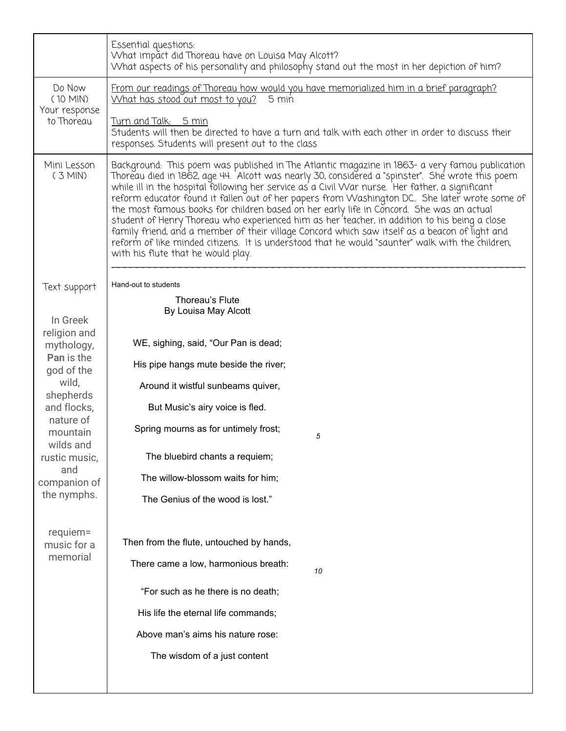|                                       | Essential questions:<br>What impact did Thoreau have on Louisa May Alcott?<br>What aspects of his personality and philosophy stand out the most in her depiction of him?                                                                                                                                                                                                                                                                                                                                                                                                                                                                                                                                                                                                                                                                           |  |  |  |  |
|---------------------------------------|----------------------------------------------------------------------------------------------------------------------------------------------------------------------------------------------------------------------------------------------------------------------------------------------------------------------------------------------------------------------------------------------------------------------------------------------------------------------------------------------------------------------------------------------------------------------------------------------------------------------------------------------------------------------------------------------------------------------------------------------------------------------------------------------------------------------------------------------------|--|--|--|--|
| Do Now<br>$(10$ MIN)<br>Your response | From our readings of Thoreau how would you have memorialized him in a brief paragraph?<br>What has stood out most to you?<br>5 min                                                                                                                                                                                                                                                                                                                                                                                                                                                                                                                                                                                                                                                                                                                 |  |  |  |  |
| to Thoreau                            | <u>Turn and Talk: 5 min</u><br>Students will then be directed to have a turn and talk with each other in order to discuss their<br>responses. Students will present out to the class                                                                                                                                                                                                                                                                                                                                                                                                                                                                                                                                                                                                                                                               |  |  |  |  |
| Mini Lesson<br>$(3$ MIN)              | Background: This poem was published in The Atlantic magazine in 1863- a very famou publication<br>Thoreau died in 1862, age 44. 'Alcott was nearly 30, considered a "spinster".  She wrote this poem<br>while ill in the hospital following her service as a Civil War nurse. Her father, a significant<br>reform educator found it fallen out of her papers from Washington DC. She later wrote some of<br>the most famous books for children based on her early life in Concord. She was an actual<br>student of Henry Thoreau who experienced him as her 'teacher, in addition to his being a close<br>family friend, and a member of their village Concord which saw itself as a beacon of light and<br>reform of like minded citizens. It is understood that he would "saunter" walk with the children,<br>with his flute that he would play. |  |  |  |  |
| Text support                          | Hand-out to students                                                                                                                                                                                                                                                                                                                                                                                                                                                                                                                                                                                                                                                                                                                                                                                                                               |  |  |  |  |
|                                       | Thoreau's Flute<br>By Louisa May Alcott                                                                                                                                                                                                                                                                                                                                                                                                                                                                                                                                                                                                                                                                                                                                                                                                            |  |  |  |  |
| In Greek                              |                                                                                                                                                                                                                                                                                                                                                                                                                                                                                                                                                                                                                                                                                                                                                                                                                                                    |  |  |  |  |
| religion and<br>mythology,            | WE, sighing, said, "Our Pan is dead;                                                                                                                                                                                                                                                                                                                                                                                                                                                                                                                                                                                                                                                                                                                                                                                                               |  |  |  |  |
| Pan is the<br>god of the              | His pipe hangs mute beside the river;                                                                                                                                                                                                                                                                                                                                                                                                                                                                                                                                                                                                                                                                                                                                                                                                              |  |  |  |  |
| wild,<br>shepherds                    | Around it wistful sunbeams quiver,                                                                                                                                                                                                                                                                                                                                                                                                                                                                                                                                                                                                                                                                                                                                                                                                                 |  |  |  |  |
| and flocks,                           | But Music's airy voice is fled.                                                                                                                                                                                                                                                                                                                                                                                                                                                                                                                                                                                                                                                                                                                                                                                                                    |  |  |  |  |
| nature of<br>mountain                 | Spring mourns as for untimely frost;<br>5                                                                                                                                                                                                                                                                                                                                                                                                                                                                                                                                                                                                                                                                                                                                                                                                          |  |  |  |  |
| wilds and<br>rustic music,            | The bluebird chants a requiem;                                                                                                                                                                                                                                                                                                                                                                                                                                                                                                                                                                                                                                                                                                                                                                                                                     |  |  |  |  |
| and<br>companion of                   | The willow-blossom waits for him;                                                                                                                                                                                                                                                                                                                                                                                                                                                                                                                                                                                                                                                                                                                                                                                                                  |  |  |  |  |
| the nymphs.                           | The Genius of the wood is lost."                                                                                                                                                                                                                                                                                                                                                                                                                                                                                                                                                                                                                                                                                                                                                                                                                   |  |  |  |  |
| requiem=                              | Then from the flute, untouched by hands,                                                                                                                                                                                                                                                                                                                                                                                                                                                                                                                                                                                                                                                                                                                                                                                                           |  |  |  |  |
| music for a<br>memorial               |                                                                                                                                                                                                                                                                                                                                                                                                                                                                                                                                                                                                                                                                                                                                                                                                                                                    |  |  |  |  |
|                                       | There came a low, harmonious breath:<br>10                                                                                                                                                                                                                                                                                                                                                                                                                                                                                                                                                                                                                                                                                                                                                                                                         |  |  |  |  |
|                                       | "For such as he there is no death;                                                                                                                                                                                                                                                                                                                                                                                                                                                                                                                                                                                                                                                                                                                                                                                                                 |  |  |  |  |
|                                       | His life the eternal life commands;                                                                                                                                                                                                                                                                                                                                                                                                                                                                                                                                                                                                                                                                                                                                                                                                                |  |  |  |  |
|                                       | Above man's aims his nature rose:                                                                                                                                                                                                                                                                                                                                                                                                                                                                                                                                                                                                                                                                                                                                                                                                                  |  |  |  |  |
|                                       | The wisdom of a just content                                                                                                                                                                                                                                                                                                                                                                                                                                                                                                                                                                                                                                                                                                                                                                                                                       |  |  |  |  |
|                                       |                                                                                                                                                                                                                                                                                                                                                                                                                                                                                                                                                                                                                                                                                                                                                                                                                                                    |  |  |  |  |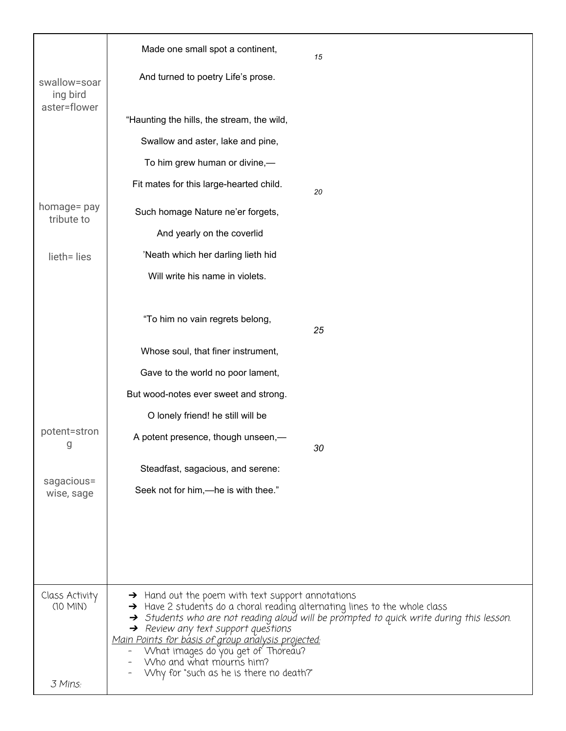|                           | Made one small spot a continent,<br>15                                                                                                                                             |  |  |  |
|---------------------------|------------------------------------------------------------------------------------------------------------------------------------------------------------------------------------|--|--|--|
| swallow=soar<br>ing bird  | And turned to poetry Life's prose.                                                                                                                                                 |  |  |  |
| aster=flower              |                                                                                                                                                                                    |  |  |  |
|                           | "Haunting the hills, the stream, the wild,                                                                                                                                         |  |  |  |
|                           | Swallow and aster, lake and pine,                                                                                                                                                  |  |  |  |
|                           | To him grew human or divine,-                                                                                                                                                      |  |  |  |
|                           | Fit mates for this large-hearted child.<br>20                                                                                                                                      |  |  |  |
| homage= pay<br>tribute to | Such homage Nature ne'er forgets,                                                                                                                                                  |  |  |  |
|                           | And yearly on the coverlid                                                                                                                                                         |  |  |  |
| lieth= lies               | 'Neath which her darling lieth hid                                                                                                                                                 |  |  |  |
|                           | Will write his name in violets.                                                                                                                                                    |  |  |  |
|                           |                                                                                                                                                                                    |  |  |  |
|                           | "To him no vain regrets belong,<br>25                                                                                                                                              |  |  |  |
|                           | Whose soul, that finer instrument,                                                                                                                                                 |  |  |  |
|                           | Gave to the world no poor lament,                                                                                                                                                  |  |  |  |
|                           | But wood-notes ever sweet and strong.                                                                                                                                              |  |  |  |
|                           | O lonely friend! he still will be                                                                                                                                                  |  |  |  |
| potent=stron<br>g         | A potent presence, though unseen,-<br>30                                                                                                                                           |  |  |  |
|                           | Steadfast, sagacious, and serene:                                                                                                                                                  |  |  |  |
| sagacious=<br>wise, sage  | Seek not for him,—he is with thee."                                                                                                                                                |  |  |  |
|                           |                                                                                                                                                                                    |  |  |  |
|                           |                                                                                                                                                                                    |  |  |  |
|                           |                                                                                                                                                                                    |  |  |  |
|                           |                                                                                                                                                                                    |  |  |  |
| Class Activity            | $\rightarrow$ Hand out the poem with text support annotations                                                                                                                      |  |  |  |
| (10 MIN)                  | $\rightarrow$ Have 2 students do a choral reading alternating lines to the whole class<br>> Students who are not reading aloud will be prompted to quick write during this lesson. |  |  |  |
|                           | $\rightarrow$ Review any text support questions                                                                                                                                    |  |  |  |
|                           | <u>Main Points for básis of group analysis projected:</u><br>What images do you 'get of' Tho'reau?<br>Who and what mourns him?                                                     |  |  |  |
|                           | Why for "such as he is there no death?"                                                                                                                                            |  |  |  |
| 3 Mins:                   |                                                                                                                                                                                    |  |  |  |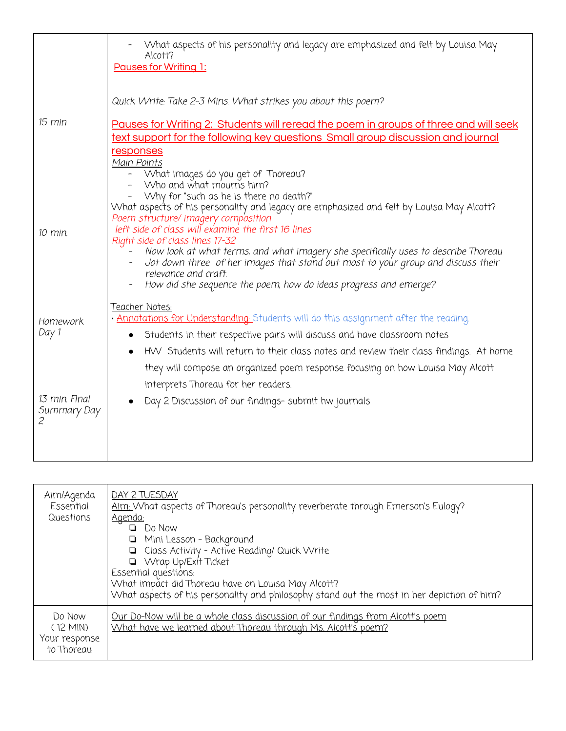|                              | What aspects of his personality and legacy are emphasized and felt by Louisa May<br>Alcott?<br><b>Pauses for Writing 1:</b>                                                                                                                                                                                                                                                                                                                                                                                                                                                                                  |
|------------------------------|--------------------------------------------------------------------------------------------------------------------------------------------------------------------------------------------------------------------------------------------------------------------------------------------------------------------------------------------------------------------------------------------------------------------------------------------------------------------------------------------------------------------------------------------------------------------------------------------------------------|
| 15 min                       | Quick Write: Take 2-3 Mins. What strikes you about this poem?<br>Pauses for Writing 2: Students will reread the poem in groups of three and will seek<br>text support for the following key questions Small group discussion and journal<br>responses<br>Main Points                                                                                                                                                                                                                                                                                                                                         |
| 10 min.                      | What images do you get of Thoreau?<br>Who and what mourns him?<br>"Why for "such as he is there no death?"<br>What aspects of his personality and legacy are emphasized and felt by Louisa May Alcott?<br>Poem structure/ imagery composition<br>left side of class will examine the first 16 lines<br>Right side of class lines 17-32<br>Now look at what terms, and what imagery she specifically uses to describe Thoreau<br>Jot down three of her images that stand out most to your group and discuss their<br>relevance and craft.<br>How did she sequence the poem, how do ideas progress and emerge? |
| Homework<br>Day 1            | <u>Teacher Notes:</u><br>• Annotations for Understanding: Students will do this assignment after the reading.<br>Students in their respective pairs will discuss and have classroom notes<br>HVV Students will return to their class notes and review their class findings. At home<br>they will compose an organized poem response focusing on how Louisa May Alcott                                                                                                                                                                                                                                        |
| 13 min. Final<br>Summary Day | interprets Thoreau for her readers.<br>Day 2 Discussion of our findings- submit hw journals                                                                                                                                                                                                                                                                                                                                                                                                                                                                                                                  |

| Aim/Agenda<br>Essential<br>Questions                | DAY 2 TUESDAY<br>Aim: What aspects of Thoreau's personality reverberate through Emerson's Eulogy?<br><u>Agenda:</u><br>$\Box$ Do Now<br>□ Mini Lesson - Background<br>□ Class Activity - Active Reading/ Quick Write<br>VVrap Up/Exit Ticket<br>Essential questions:<br>What impact did Thoreau have on Louisa May Alcott?<br>What aspects of his personality and philosophy stand out the most in her depiction of him? |
|-----------------------------------------------------|--------------------------------------------------------------------------------------------------------------------------------------------------------------------------------------------------------------------------------------------------------------------------------------------------------------------------------------------------------------------------------------------------------------------------|
| Do Now<br>$(12$ MIN)<br>Your response<br>to Thoreau | <u>Our Do-Now will be a whole class discussion of our findings from Alcott's poem</u><br>What have we learned about Thoreau through Ms. Alcott's poem?                                                                                                                                                                                                                                                                   |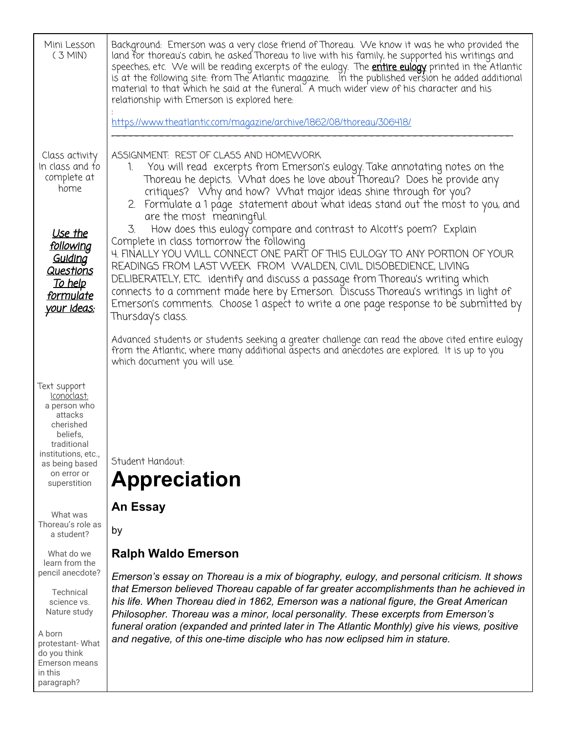| Mini Lesson<br>$(3$ MIN)                                                                                                                                               | Background: Emerson was a very close friend of Thoreau. We know it was he who provided the<br>land for thoreau's cabin, he asked Thoreau to live with his family, he supported his writings and<br>speeches, etc. We will be reading excerpts of the eulogy. The <b>entire eulogy</b> printed in the Atlantic<br>is at the following site: from The Atlantic magazine. In the published version he added additional<br>material to that which he said at the funeral. A much wider view of his character and his<br>relationship with Emerson is explored here:                                                                                                    |  |  |  |  |
|------------------------------------------------------------------------------------------------------------------------------------------------------------------------|--------------------------------------------------------------------------------------------------------------------------------------------------------------------------------------------------------------------------------------------------------------------------------------------------------------------------------------------------------------------------------------------------------------------------------------------------------------------------------------------------------------------------------------------------------------------------------------------------------------------------------------------------------------------|--|--|--|--|
|                                                                                                                                                                        | https://www.theatlantic.com/magazine/archive/1862/08/thoreau/306418/                                                                                                                                                                                                                                                                                                                                                                                                                                                                                                                                                                                               |  |  |  |  |
| Class activity<br>In class and to<br>complete at<br>home<br><u>Use the</u><br><u>following</u><br>Guiding                                                              | ASSIGNMENT: REST OF CLASS AND HOMEWORK<br>You will read excerpts from Emerson's eulogy. Take annotating notes on the<br>1.<br>Thoreau he depicts. What does he love about Thoreau? Does he provide any<br>critiques? Why and how? What major ideas shine through for you?<br>2. Formulate a 1 page statement about what ideas stand out the most to you, and<br>are the most meaningful.<br>How does this eulogy compare and contrast to Alcott's poem? Explain<br>3.<br>Complete in class tomorrow the following<br>4. FINALLY YOU WILL CONNECT ONE PART OF THIS EULOGY TO ANY PORTION OF YOUR<br>READINGS FROM LAST WEEK FROM WALDEN, CIVIL DISOBEDIENCE, LIVING |  |  |  |  |
| <u>Questions</u><br><u>To help</u><br><u>formulate</u><br><u>your ideas:</u>                                                                                           | DELIBERATELY, ETC. identify and discuss a passage from Thoreau's writing which<br>connects to a comment made here by Emerson. Discuss Thoreau's writings in light of<br>Emerson's comments. Choose 1 aspect to write a one page response to be submitted by<br>Thursday's class.                                                                                                                                                                                                                                                                                                                                                                                   |  |  |  |  |
|                                                                                                                                                                        | Advanced students or students seeking a greater challenge can read the above cited entire eulogy<br>from the Atlantic, where many additional aspects and anecdotes are explored. It is up to you<br>which document you will use.                                                                                                                                                                                                                                                                                                                                                                                                                                   |  |  |  |  |
| Text support<br>Iconoclast:<br>a person who<br>attacks<br>cherished<br>beliefs,<br>traditional<br>institutions, etc.,<br>as being based<br>on error or<br>superstition | Student Handout:<br><b>Appreciation</b>                                                                                                                                                                                                                                                                                                                                                                                                                                                                                                                                                                                                                            |  |  |  |  |
| What was<br>Thoreau's role as<br>a student?                                                                                                                            | <b>An Essay</b><br>by                                                                                                                                                                                                                                                                                                                                                                                                                                                                                                                                                                                                                                              |  |  |  |  |
| What do we<br>learn from the                                                                                                                                           | <b>Ralph Waldo Emerson</b>                                                                                                                                                                                                                                                                                                                                                                                                                                                                                                                                                                                                                                         |  |  |  |  |
| pencil anecdote?<br>Technical<br>science vs.<br>Nature study<br>A born<br>protestant-What<br>do you think<br><b>Emerson means</b>                                      | Emerson's essay on Thoreau is a mix of biography, eulogy, and personal criticism. It shows<br>that Emerson believed Thoreau capable of far greater accomplishments than he achieved in<br>his life. When Thoreau died in 1862, Emerson was a national figure, the Great American<br>Philosopher. Thoreau was a minor, local personality. These excerpts from Emerson's<br>funeral oration (expanded and printed later in The Atlantic Monthly) give his views, positive<br>and negative, of this one-time disciple who has now eclipsed him in stature.                                                                                                            |  |  |  |  |
| in this<br>paragraph?                                                                                                                                                  |                                                                                                                                                                                                                                                                                                                                                                                                                                                                                                                                                                                                                                                                    |  |  |  |  |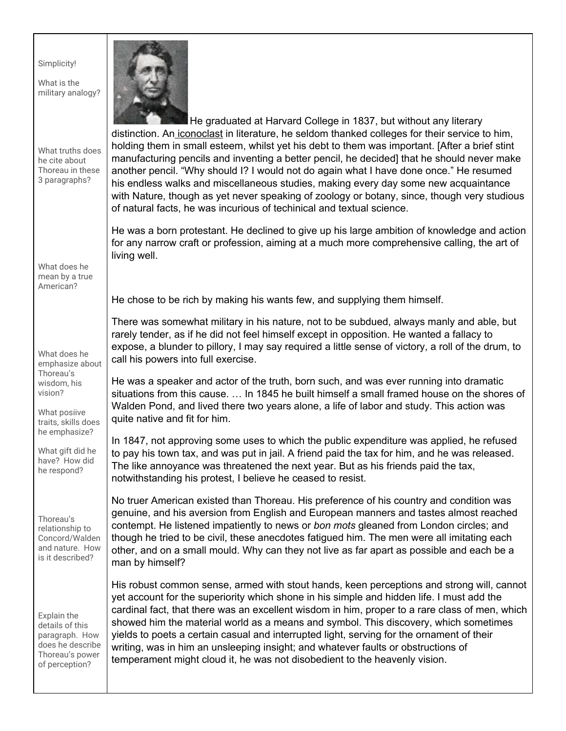|  |  | Simplicity! |
|--|--|-------------|
|  |  |             |

What is the military analogy?

he cite about

3 paragraphs?



What truths does Thoreau in these He graduated at Harvard College in 1837, but without any literary distinction. An iconoclast in literature, he seldom thanked colleges for their service to him, holding them in small esteem, whilst yet his debt to them was important. [After a brief stint manufacturing pencils and inventing a better pencil, he decided] that he should never make another pencil. "Why should I? I would not do again what I have done once." He resumed his endless walks and miscellaneous studies, making every day some new acquaintance with Nature, though as yet never speaking of zoology or botany, since, though very studious of natural facts, he was incurious of techinical and textual science.

> He was a born protestant. He declined to give up his large ambition of knowledge and action for any narrow craft or profession, aiming at a much more comprehensive calling, the art of living well.

What does he mean by a true American?

What does he emphasize about Thoreau's wisdom, his vision?

What posiive traits, skills does he emphasize?

What gift did he have? How did he respond?

Thoreau's relationship to Concord/Walden and nature. How is it described?

Explain the details of this paragraph. How does he describe Thoreau's power of perception?

He chose to be rich by making his wants few, and supplying them himself.

There was somewhat military in his nature, not to be subdued, always manly and able, but rarely tender, as if he did not feel himself except in opposition. He wanted a fallacy to expose, a blunder to pillory, I may say required a little sense of victory, a roll of the drum, to call his powers into full exercise.

He was a speaker and actor of the truth, born such, and was ever running into dramatic situations from this cause. … In 1845 he built himself a small framed house on the shores of Walden Pond, and lived there two years alone, a life of labor and study. This action was quite native and fit for him.

In 1847, not approving some uses to which the public expenditure was applied, he refused to pay his town tax, and was put in jail. A friend paid the tax for him, and he was released. The like annoyance was threatened the next year. But as his friends paid the tax, notwithstanding his protest, I believe he ceased to resist.

No truer American existed than Thoreau. His preference of his country and condition was genuine, and his aversion from English and European manners and tastes almost reached contempt. He listened impatiently to news or *bon mots* gleaned from London circles; and though he tried to be civil, these anecdotes fatigued him. The men were all imitating each other, and on a small mould. Why can they not live as far apart as possible and each be a man by himself?

His robust common sense, armed with stout hands, keen perceptions and strong will, cannot yet account for the superiority which shone in his simple and hidden life. I must add the cardinal fact, that there was an excellent wisdom in him, proper to a rare class of men, which showed him the material world as a means and symbol. This discovery, which sometimes yields to poets a certain casual and interrupted light, serving for the ornament of their writing, was in him an unsleeping insight; and whatever faults or obstructions of temperament might cloud it, he was not disobedient to the heavenly vision.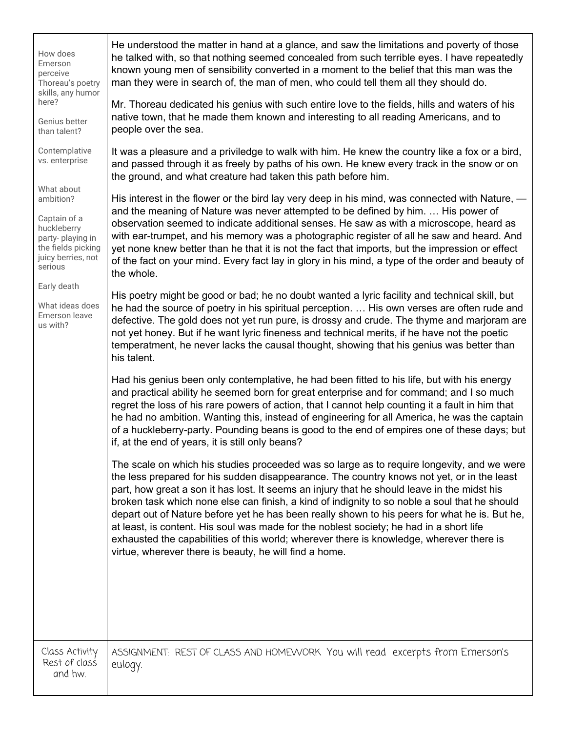| How does<br>Emerson<br>perceive<br>Thoreau's poetry<br>skills, any humor                                                          | He understood the matter in hand at a glance, and saw the limitations and poverty of those<br>he talked with, so that nothing seemed concealed from such terrible eyes. I have repeatedly<br>known young men of sensibility converted in a moment to the belief that this man was the<br>man they were in search of, the man of men, who could tell them all they should do.                                                                                                                                                                                                                                                                                                                                                               |
|-----------------------------------------------------------------------------------------------------------------------------------|--------------------------------------------------------------------------------------------------------------------------------------------------------------------------------------------------------------------------------------------------------------------------------------------------------------------------------------------------------------------------------------------------------------------------------------------------------------------------------------------------------------------------------------------------------------------------------------------------------------------------------------------------------------------------------------------------------------------------------------------|
| here?<br>Genius better<br>than talent?                                                                                            | Mr. Thoreau dedicated his genius with such entire love to the fields, hills and waters of his<br>native town, that he made them known and interesting to all reading Americans, and to<br>people over the sea.                                                                                                                                                                                                                                                                                                                                                                                                                                                                                                                             |
| Contemplative<br>vs. enterprise                                                                                                   | It was a pleasure and a priviledge to walk with him. He knew the country like a fox or a bird,<br>and passed through it as freely by paths of his own. He knew every track in the snow or on<br>the ground, and what creature had taken this path before him.                                                                                                                                                                                                                                                                                                                                                                                                                                                                              |
| What about<br>ambition?<br>Captain of a<br>huckleberry<br>party-playing in<br>the fields picking<br>juicy berries, not<br>serious | His interest in the flower or the bird lay very deep in his mind, was connected with Nature, —<br>and the meaning of Nature was never attempted to be defined by him.  His power of<br>observation seemed to indicate additional senses. He saw as with a microscope, heard as<br>with ear-trumpet, and his memory was a photographic register of all he saw and heard. And<br>yet none knew better than he that it is not the fact that imports, but the impression or effect<br>of the fact on your mind. Every fact lay in glory in his mind, a type of the order and beauty of<br>the whole.                                                                                                                                           |
| Early death<br>What ideas does<br>Emerson leave<br>us with?                                                                       | His poetry might be good or bad; he no doubt wanted a lyric facility and technical skill, but<br>he had the source of poetry in his spiritual perception.  His own verses are often rude and<br>defective. The gold does not yet run pure, is drossy and crude. The thyme and marjoram are<br>not yet honey. But if he want lyric fineness and technical merits, if he have not the poetic<br>temperatment, he never lacks the causal thought, showing that his genius was better than<br>his talent.                                                                                                                                                                                                                                      |
|                                                                                                                                   | Had his genius been only contemplative, he had been fitted to his life, but with his energy<br>and practical ability he seemed born for great enterprise and for command; and I so much<br>regret the loss of his rare powers of action, that I cannot help counting it a fault in him that<br>he had no ambition. Wanting this, instead of engineering for all America, he was the captain<br>of a huckleberry-party. Pounding beans is good to the end of empires one of these days; but<br>if, at the end of years, it is still only beans?                                                                                                                                                                                             |
|                                                                                                                                   | The scale on which his studies proceeded was so large as to require longevity, and we were<br>the less prepared for his sudden disappearance. The country knows not yet, or in the least<br>part, how great a son it has lost. It seems an injury that he should leave in the midst his<br>broken task which none else can finish, a kind of indignity to so noble a soul that he should<br>depart out of Nature before yet he has been really shown to his peers for what he is. But he,<br>at least, is content. His soul was made for the noblest society; he had in a short life<br>exhausted the capabilities of this world; wherever there is knowledge, wherever there is<br>virtue, wherever there is beauty, he will find a home. |
| Class Activity                                                                                                                    | ASSIGNMENT: REST OF CLASS AND HOMEVVORK You will read excerpts from Emerson's                                                                                                                                                                                                                                                                                                                                                                                                                                                                                                                                                                                                                                                              |
| Rest of class<br>and hw.                                                                                                          | eulogy.                                                                                                                                                                                                                                                                                                                                                                                                                                                                                                                                                                                                                                                                                                                                    |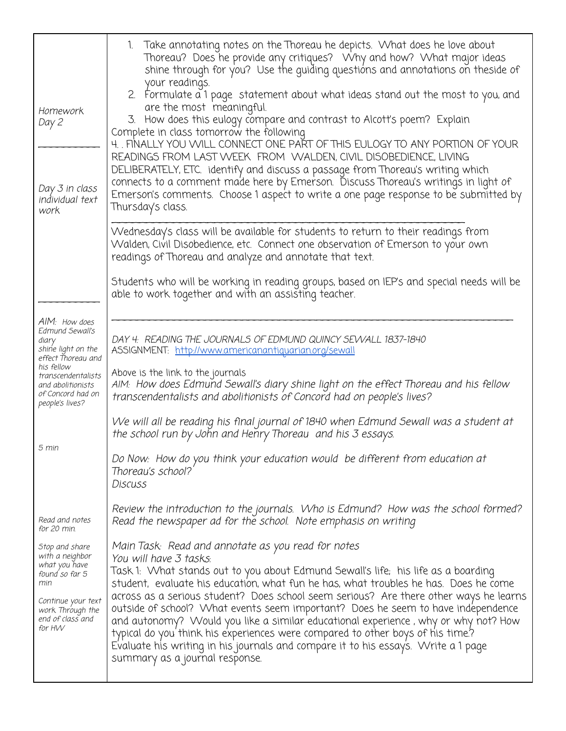| Homework<br>Day 2<br>Day 3 in class<br>individual text<br>work                                                                                      | 1. Take annotating notes on the Thoreau he depicts. What does he love about<br>Thoreau? Does he provide any critiques? Why and how? What major ideas<br>shine through for you? Use the guiding questions and annotations on theside of<br>your readings.<br>2. Formulate a 1 page statement about what ideas stand out the most to you, and<br>are the most meaningful.<br>3. How does this eulogy compare and contrast to Alcott's poem? Explain Complete in class tomorrow the following<br>4. FINALLY YOU WILL CONNECT ONE PART OF THIS EULOGY TO ANY PORTION OF YOUR<br>READINGS FROM LAST WEEK FROM WALDEN, CIVIL DISOBEDIENCE, LIVING<br>DELIBERATELY, ETC. identify and discuss a passage from Thoreau's writing which<br>connects to a comment made here by Emerson. Discuss Thoreau's writings in light of<br>Emerson's comments. Choose 1 aspect to write a one page response to be submitted by<br>Thursday's class. |
|-----------------------------------------------------------------------------------------------------------------------------------------------------|---------------------------------------------------------------------------------------------------------------------------------------------------------------------------------------------------------------------------------------------------------------------------------------------------------------------------------------------------------------------------------------------------------------------------------------------------------------------------------------------------------------------------------------------------------------------------------------------------------------------------------------------------------------------------------------------------------------------------------------------------------------------------------------------------------------------------------------------------------------------------------------------------------------------------------|
|                                                                                                                                                     | Wednesday's class will be available for students to return to their readings from<br>Walden, Civil Disobedience, etc. Connect one observation of Emerson to your own<br>readings of Thoreau and analyze and annotate that text.                                                                                                                                                                                                                                                                                                                                                                                                                                                                                                                                                                                                                                                                                                 |
|                                                                                                                                                     | Students who will be working in reading groups, based on IEP's and special needs will be<br>able to work together and with an assisting teacher.                                                                                                                                                                                                                                                                                                                                                                                                                                                                                                                                                                                                                                                                                                                                                                                |
| AIM: How does<br>Edmund Sewall's<br>diary<br>shine light on the<br>effect Thoreau and<br>his fellow                                                 | DAY 4: READING THE JOURNALS OF EDMUND QUINCY SEWALL 1837-1840<br>ASSIGNMENT: http://www.americanantiquarian.org/sewall                                                                                                                                                                                                                                                                                                                                                                                                                                                                                                                                                                                                                                                                                                                                                                                                          |
| transcendentalists<br>and abolitionists<br>of Concord had on<br>people's lives?                                                                     | Above is the link to the journals<br>AIM: How does Edmund Sewall's diary shine light on the effect Thoreau and his fellow<br>transcendentalists and abolitionists of Concord had on people's lives?                                                                                                                                                                                                                                                                                                                                                                                                                                                                                                                                                                                                                                                                                                                             |
|                                                                                                                                                     | We will all be reading his final journal of 1840 when Edmund Sewall was a student at<br>the school run by John and Henry Thoreau and his 3 essays.                                                                                                                                                                                                                                                                                                                                                                                                                                                                                                                                                                                                                                                                                                                                                                              |
| 5 min                                                                                                                                               | Do Now: How do you think your education would be different from education at<br>Thoreau's school?<br>Discuss                                                                                                                                                                                                                                                                                                                                                                                                                                                                                                                                                                                                                                                                                                                                                                                                                    |
| Read and notes<br>for 20 min.                                                                                                                       | Review the introduction to the journals. Who is Edmund? How was the school formed?<br>Read the newspaper ad for the school. Note emphasis on writing                                                                                                                                                                                                                                                                                                                                                                                                                                                                                                                                                                                                                                                                                                                                                                            |
| Stop and share<br>with a neighbor<br>what you have<br>found so far 5<br>min<br>Continue your text<br>work Through the<br>end of class and<br>for HW | Main Task: Read and annotate as you read for notes<br>You will have 3 tasks:<br>Task 1:  What stands out to you about Edmund Sewall's life;  his life as a boarding<br>student, evaluate his education, what fun he has, what troubles he has. Does he come<br>across as a serious student? Does school seem serious? Are there other ways he learns<br>outside of school? What events seem important? Does he seem to have independence<br>and autonomy? Would you like a similar educational experience, why or why not? How<br>typical do you think his experiences were compared to other boys of his time?<br>Evaluate his writing in his journals and compare it to his essays. Write a 1 page<br>summary as a journal response.                                                                                                                                                                                          |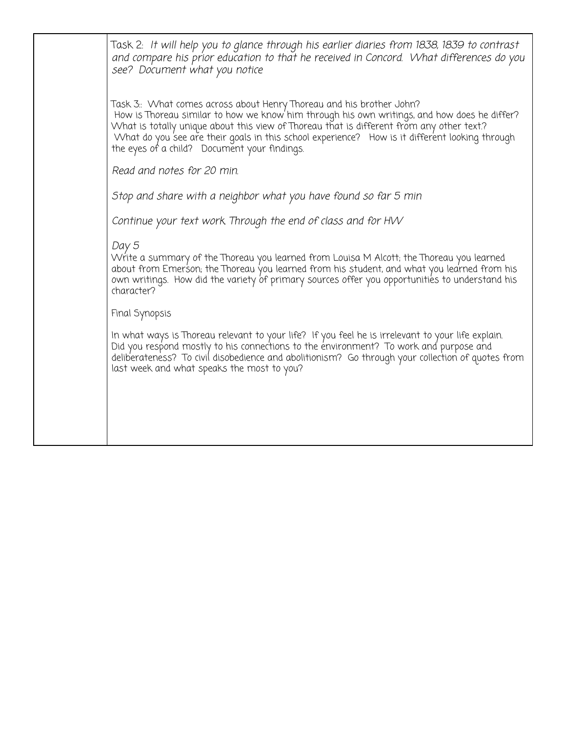| Task 2: It will help you to glance through his earlier diaries from 1838, 1839 to contrast<br>and compare his prior education to that he received in Concord. What differences do you<br>see? Document what you notice                                                                                                                                                                                            |
|-------------------------------------------------------------------------------------------------------------------------------------------------------------------------------------------------------------------------------------------------------------------------------------------------------------------------------------------------------------------------------------------------------------------|
| Task 3:: What comes across about Henry Thoreau and his brother John?<br>How is Thoreau similar to how we know him through his own writings, and how does he differ?<br>What is totally unique about this view of Thoreau that is different from any other text?<br>What do you see are their goals in this school experience? How is it different looking through<br>the eyes of a child? Document your findings. |
| Read and notes for 20 min.                                                                                                                                                                                                                                                                                                                                                                                        |
| Stop and share with a neighbor what you have found so far 5 min                                                                                                                                                                                                                                                                                                                                                   |
| Continue your text work Through the end of class and for HW                                                                                                                                                                                                                                                                                                                                                       |
| Day 5<br>Write a summary of the Thoreau you learned from Louisa M Alcott; the Thoreau you learned<br>about from Emer'son; the Thoreau 'you learned from his student, and what you lea'rned from his<br>own writings. How did the variety of primary sources offer you opportunities to understand his<br>character?                                                                                               |
| Final Synopsis                                                                                                                                                                                                                                                                                                                                                                                                    |
| In what ways is Thoreau relevant to your life? If you feel he is irrelevant to your life explain.<br>Did you respond mostly to his connections to the environment? To work and purpose and<br>deliberateness? To civil disobedience and abolitionism? Go through your collection of quotes from<br>last week and what speaks the most to you?                                                                     |
|                                                                                                                                                                                                                                                                                                                                                                                                                   |
|                                                                                                                                                                                                                                                                                                                                                                                                                   |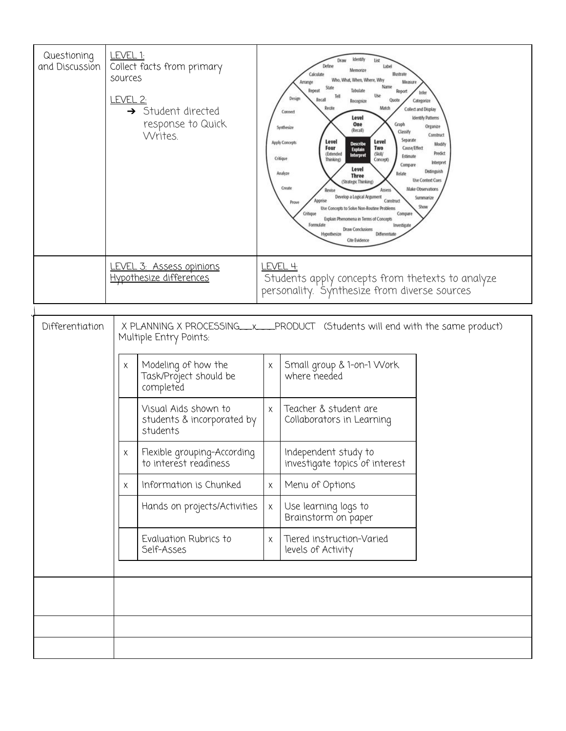| Questioning<br>and Discussion | <u>LEVEL 1:</u><br>Collect facts from primary<br>sources<br><u>LEVEL 2:</u><br>Student directed<br>$\rightarrow$<br>response to Quick<br>Writes. |                                                                                                                                                                     |   | klentify<br>List<br>Draw<br>Define<br>label<br>Memorize<br><b>Illustrate</b><br>Calculate<br>What, When, Where, Why<br>Measure<br>Arrange<br>Name<br>Repeat<br>Tabulate<br>Report<br>Infer<br>ы<br>Design<br>Recall<br>Quote<br>Categorize<br>Recognize<br>Recite<br>Match<br>Collect and Display<br>Connect<br>Level<br><b>Identify Patterns</b><br>One<br>Graph<br>Organize<br>Synthesize<br>(Recall)<br>Classify<br>Construct<br>Separate<br>Level<br>Level<br>Apply Concepts<br><b>Describe</b><br>Modify<br>Four<br>Two<br>Cause/Effect<br><b>Explain</b><br>Predict<br>(Extended<br>(Skill/<br>Interpret<br>Estimate<br>Critique<br>Thinking)<br>Concept)<br>Interpret<br>Compare<br>Level<br>Deanguish<br>Analyze<br><b>Three</b><br><b>Use Context Cues</b><br>Strategic Thinking)<br>Create<br>Make Observations<br>Assess<br><b>Revise</b><br>Develop a Logical Argument<br>Summarize<br>Construct<br>Prov<br>Show<br>Use Concepts to Solve Non-Routine Problems<br>Compare<br>Critique<br>Explain Phenomena in Terms of Concepts<br>Formulate<br>Investigate<br><b>Draw Conclusions</b><br>Differentiate<br>Hypothesize<br><b>Cite Evidence</b> |  |  |
|-------------------------------|--------------------------------------------------------------------------------------------------------------------------------------------------|---------------------------------------------------------------------------------------------------------------------------------------------------------------------|---|------------------------------------------------------------------------------------------------------------------------------------------------------------------------------------------------------------------------------------------------------------------------------------------------------------------------------------------------------------------------------------------------------------------------------------------------------------------------------------------------------------------------------------------------------------------------------------------------------------------------------------------------------------------------------------------------------------------------------------------------------------------------------------------------------------------------------------------------------------------------------------------------------------------------------------------------------------------------------------------------------------------------------------------------------------------------------------------------------------------------------------------------------------|--|--|
|                               |                                                                                                                                                  | LEVEL 4:<br>LEVEL 3: Assess opinions<br>Hypothesize differences<br>Students apply concepts from thetexts to analyze<br>personality. Synthesize from diverse sources |   |                                                                                                                                                                                                                                                                                                                                                                                                                                                                                                                                                                                                                                                                                                                                                                                                                                                                                                                                                                                                                                                                                                                                                            |  |  |
| Differentiation               |                                                                                                                                                  | Multiple Entry Points:                                                                                                                                              |   | X PLANNING X PROCESSING__ x___PRODUCT (Students will end with the same product)                                                                                                                                                                                                                                                                                                                                                                                                                                                                                                                                                                                                                                                                                                                                                                                                                                                                                                                                                                                                                                                                            |  |  |
|                               | Χ                                                                                                                                                | Modeling of how the<br>Task/Project should be<br>completed                                                                                                          | Χ | Small group & 1-on-1 Work<br>where needed                                                                                                                                                                                                                                                                                                                                                                                                                                                                                                                                                                                                                                                                                                                                                                                                                                                                                                                                                                                                                                                                                                                  |  |  |
|                               |                                                                                                                                                  | Visual Aids shown to<br>students & incorporated by<br>students                                                                                                      | Χ | Teacher & student are<br>Collaborators in Learning                                                                                                                                                                                                                                                                                                                                                                                                                                                                                                                                                                                                                                                                                                                                                                                                                                                                                                                                                                                                                                                                                                         |  |  |
|                               | Χ                                                                                                                                                | Flexible grouping-According<br>to interest readiness                                                                                                                |   | Independent study to<br>investigate topics of interest                                                                                                                                                                                                                                                                                                                                                                                                                                                                                                                                                                                                                                                                                                                                                                                                                                                                                                                                                                                                                                                                                                     |  |  |
|                               | $\times$                                                                                                                                         | Information is Chunked                                                                                                                                              | X | Menu of Options                                                                                                                                                                                                                                                                                                                                                                                                                                                                                                                                                                                                                                                                                                                                                                                                                                                                                                                                                                                                                                                                                                                                            |  |  |
|                               |                                                                                                                                                  | Hands on projects/Activities                                                                                                                                        | X | Use learning logs to<br>Brainstorm on paper                                                                                                                                                                                                                                                                                                                                                                                                                                                                                                                                                                                                                                                                                                                                                                                                                                                                                                                                                                                                                                                                                                                |  |  |
|                               |                                                                                                                                                  | Evaluation Rubrics to<br>Self-Asses                                                                                                                                 | X | Tiered instruction-Varied<br>levels of Activity                                                                                                                                                                                                                                                                                                                                                                                                                                                                                                                                                                                                                                                                                                                                                                                                                                                                                                                                                                                                                                                                                                            |  |  |
|                               |                                                                                                                                                  |                                                                                                                                                                     |   |                                                                                                                                                                                                                                                                                                                                                                                                                                                                                                                                                                                                                                                                                                                                                                                                                                                                                                                                                                                                                                                                                                                                                            |  |  |
|                               |                                                                                                                                                  |                                                                                                                                                                     |   |                                                                                                                                                                                                                                                                                                                                                                                                                                                                                                                                                                                                                                                                                                                                                                                                                                                                                                                                                                                                                                                                                                                                                            |  |  |
|                               |                                                                                                                                                  |                                                                                                                                                                     |   |                                                                                                                                                                                                                                                                                                                                                                                                                                                                                                                                                                                                                                                                                                                                                                                                                                                                                                                                                                                                                                                                                                                                                            |  |  |
|                               |                                                                                                                                                  |                                                                                                                                                                     |   |                                                                                                                                                                                                                                                                                                                                                                                                                                                                                                                                                                                                                                                                                                                                                                                                                                                                                                                                                                                                                                                                                                                                                            |  |  |